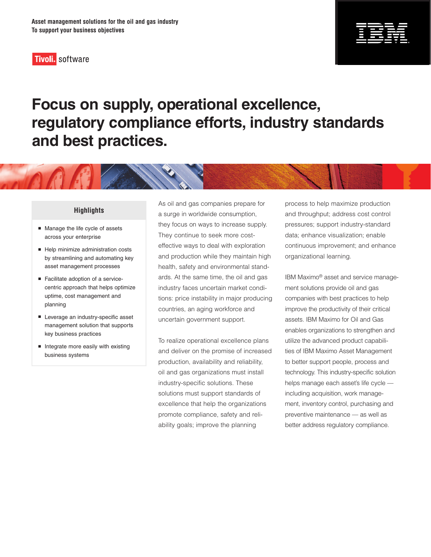



# **Focus on supply, operational excellence, regulatory compliance efforts, industry standards and best practices.**

#### **Highlights**

- Manage the life cycle of assets across your enterprise
- Help minimize administration costs by streamlining and automating key asset management processes
- Facilitate adoption of a servicecentric approach that helps optimize uptime, cost management and planning
- **Leverage an industry-specific asset** management solution that supports key business practices
- $\blacksquare$  Integrate more easily with existing business systems

As oil and gas companies prepare for a surge in worldwide consumption, they focus on ways to increase supply. They continue to seek more costeffective ways to deal with exploration and production while they maintain high health, safety and environmental standards. At the same time, the oil and gas industry faces uncertain market conditions: price instability in major producing countries, an aging workforce and uncertain government support.

To realize operational excellence plans and deliver on the promise of increased production, availability and reliability, oil and gas organizations must install industry-specific solutions. These solutions must support standards of excellence that help the organizations promote compliance, safety and reliability goals; improve the planning

process to help maximize production and throughput; address cost control pressures; support industry-standard data; enhance visualization; enable continuous improvement; and enhance organizational learning.

IBM Maximo® asset and service management solutions provide oil and gas companies with best practices to help improve the productivity of their critical assets. IBM Maximo for Oil and Gas enables organizations to strengthen and utilize the advanced product capabilities of IBM Maximo Asset Management to better support people, process and technology. This industry-specific solution helps manage each asset's life cycle including acquisition, work management, inventory control, purchasing and preventive maintenance — as well as better address regulatory compliance.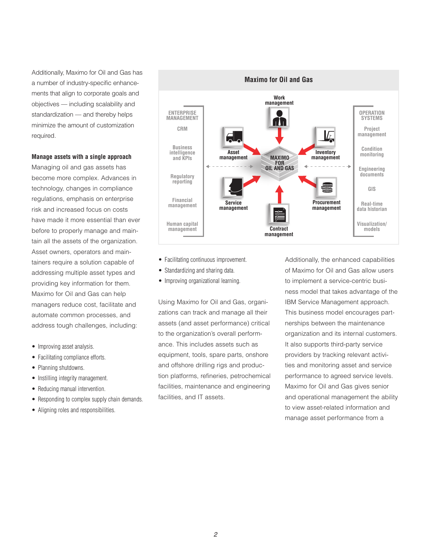Additionally, Maximo for Oil and Gas has a number of industry-specific enhancements that align to corporate goals and objectives — including scalability and standardization — and thereby helps minimize the amount of customization required.

#### **Manage assets with a single approach**

Managing oil and gas assets has become more complex. Advances in technology, changes in compliance regulations, emphasis on enterprise risk and increased focus on costs have made it more essential than ever before to properly manage and maintain all the assets of the organization. Asset owners, operators and maintainers require a solution capable of addressing multiple asset types and providing key information for them. Maximo for Oil and Gas can help managers reduce cost, facilitate and automate common processes, and address tough challenges, including:

- Improving asset analysis.
- Facilitating compliance efforts.
- Planning shutdowns.
- Instilling integrity management.
- Reducing manual intervention.
- Responding to complex supply chain demands.
- Aligning roles and responsibilities.



- Facilitating continuous improvement.
- Standardizing and sharing data.
- Improving organizational learning.

Using Maximo for Oil and Gas, organizations can track and manage all their assets (and asset performance) critical to the organization's overall performance. This includes assets such as equipment, tools, spare parts, onshore and offshore drilling rigs and production platforms, refineries, petrochemical facilities, maintenance and engineering facilities, and IT assets.

Additionally, the enhanced capabilities of Maximo for Oil and Gas allow users to implement a service-centric business model that takes advantage of the IBM Service Management approach. This business model encourages partnerships between the maintenance organization and its internal customers. It also supports third-party service providers by tracking relevant activities and monitoring asset and service performance to agreed service levels. Maximo for Oil and Gas gives senior and operational management the ability to view asset-related information and manage asset performance from a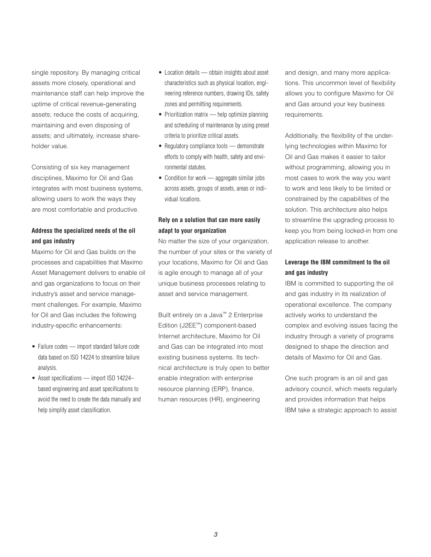single repository. By managing critical assets more closely, operational and maintenance staff can help improve the uptime of critical revenue-generating assets; reduce the costs of acquiring, maintaining and even disposing of assets; and ultimately, increase shareholder value.

Consisting of six key management disciplines, Maximo for Oil and Gas integrates with most business systems, allowing users to work the ways they are most comfortable and productive.

## **Address the specialized needs of the oil and gas industry**

Maximo for Oil and Gas builds on the processes and capabilities that Maximo Asset Management delivers to enable oil and gas organizations to focus on their industry's asset and service management challenges. For example, Maximo for Oil and Gas includes the following industry-specific enhancements:

- Failure codes import standard failure code data based on ISO 14224 to streamline failure analysis.
- Asset specifications import ISO 14224based engineering and asset specifications to avoid the need to create the data manually and help simplify asset classification.
- Location details obtain insights about asset characteristics such as physical location, engineering reference numbers, drawing IDs, safety zones and permitting requirements.
- Prioritization matrix help optimize planning and scheduling of maintenance by using preset criteria to prioritize critical assets.
- Regulatory compliance tools demonstrate efforts to comply with health, safety and environmental statutes.
- Condition for work aggregate similar jobs across assets, groups of assets, areas or individual locations.

## **Rely on a solution that can more easily adapt to your organization**

No matter the size of your organization, the number of your sites or the variety of your locations, Maximo for Oil and Gas is agile enough to manage all of your unique business processes relating to asset and service management.

Built entirely on a Java™ 2 Enterprise Edition (J2EE™) component-based Internet architecture, Maximo for Oil and Gas can be integrated into most existing business systems. Its technical architecture is truly open to better enable integration with enterprise resource planning (ERP), finance, human resources (HR), engineering

and design, and many more applications. This uncommon level of flexibility allows you to configure Maximo for Oil and Gas around your key business requirements.

Additionally, the flexibility of the underlying technologies within Maximo for Oil and Gas makes it easier to tailor without programming, allowing you in most cases to work the way you want to work and less likely to be limited or constrained by the capabilities of the solution. This architecture also helps to streamline the upgrading process to keep you from being locked-in from one application release to another.

## **Leverage the IBM commitment to the oil and gas industry**

IBM is committed to supporting the oil and gas industry in its realization of operational excellence. The company actively works to understand the complex and evolving issues facing the industry through a variety of programs designed to shape the direction and details of Maximo for Oil and Gas.

One such program is an oil and gas advisory council, which meets regularly and provides information that helps IBM take a strategic approach to assist